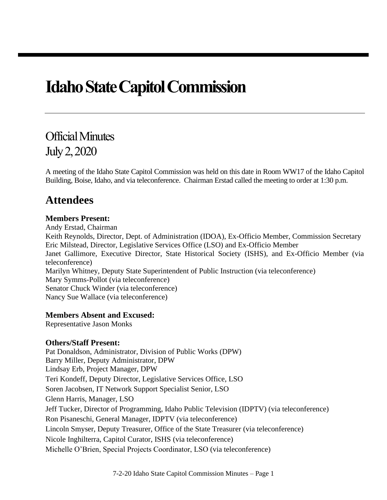# **Idaho State Capitol Commission**

Official Minutes July 2, 2020

A meeting of the Idaho State Capitol Commission was held on this date in Room WW17 of the Idaho Capitol Building, Boise, Idaho, and via teleconference. Chairman Erstad called the meeting to order at 1:30 p.m.

### **Attendees**

#### **Members Present:**

Andy Erstad, Chairman

Keith Reynolds, Director, Dept. of Administration (IDOA), Ex-Officio Member, Commission Secretary Eric Milstead, Director, Legislative Services Office (LSO) and Ex-Officio Member

Janet Gallimore, Executive Director, State Historical Society (ISHS), and Ex-Officio Member (via teleconference)

Marilyn Whitney, Deputy State Superintendent of Public Instruction (via teleconference) Mary Symms-Pollot (via teleconference) Senator Chuck Winder (via teleconference)

Nancy Sue Wallace (via teleconference)

#### **Members Absent and Excused:**

Representative Jason Monks

#### **Others/Staff Present:**

Pat Donaldson, Administrator, Division of Public Works (DPW) Barry Miller, Deputy Administrator, DPW Lindsay Erb, Project Manager, DPW Teri Kondeff, Deputy Director, Legislative Services Office, LSO Soren Jacobsen, IT Network Support Specialist Senior, LSO Glenn Harris, Manager, LSO Jeff Tucker, Director of Programming, Idaho Public Television (IDPTV) (via teleconference) Ron Pisaneschi, General Manager, IDPTV (via teleconference) Lincoln Smyser, Deputy Treasurer, Office of the State Treasurer (via teleconference) Nicole Inghilterra, Capitol Curator, ISHS (via teleconference) Michelle O'Brien, Special Projects Coordinator, LSO (via teleconference)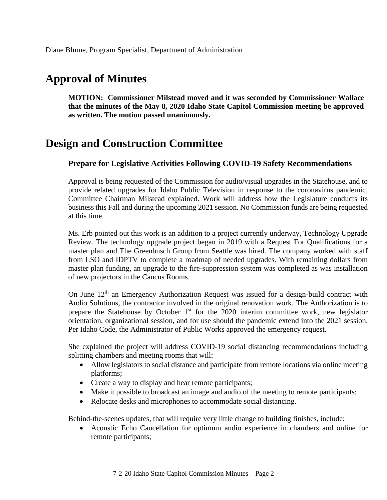## **Approval of Minutes**

**MOTION: Commissioner Milstead moved and it was seconded by Commissioner Wallace that the minutes of the May 8, 2020 Idaho State Capitol Commission meeting be approved as written. The motion passed unanimously.**

### **Design and Construction Committee**

### **Prepare for Legislative Activities Following COVID-19 Safety Recommendations**

Approval is being requested of the Commission for audio/visual upgrades in the Statehouse, and to provide related upgrades for Idaho Public Television in response to the coronavirus pandemic, Committee Chairman Milstead explained. Work will address how the Legislature conducts its business this Fall and during the upcoming 2021 session. No Commission funds are being requested at this time.

Ms. Erb pointed out this work is an addition to a project currently underway, Technology Upgrade Review. The technology upgrade project began in 2019 with a Request For Qualifications for a master plan and The Greenbusch Group from Seattle was hired. The company worked with staff from LSO and IDPTV to complete a roadmap of needed upgrades. With remaining dollars from master plan funding, an upgrade to the fire-suppression system was completed as was installation of new projectors in the Caucus Rooms.

On June  $12<sup>th</sup>$  an Emergency Authorization Request was issued for a design-build contract with Audio Solutions, the contractor involved in the original renovation work. The Authorization is to prepare the Statehouse by October  $1<sup>st</sup>$  for the 2020 interim committee work, new legislator orientation, organizational session, and for use should the pandemic extend into the 2021 session. Per Idaho Code, the Administrator of Public Works approved the emergency request.

She explained the project will address COVID-19 social distancing recommendations including splitting chambers and meeting rooms that will:

- Allow legislators to social distance and participate from remote locations via online meeting platforms;
- Create a way to display and hear remote participants;
- Make it possible to broadcast an image and audio of the meeting to remote participants;
- Relocate desks and microphones to accommodate social distancing.

Behind-the-scenes updates, that will require very little change to building finishes, include:

• Acoustic Echo Cancellation for optimum audio experience in chambers and online for remote participants;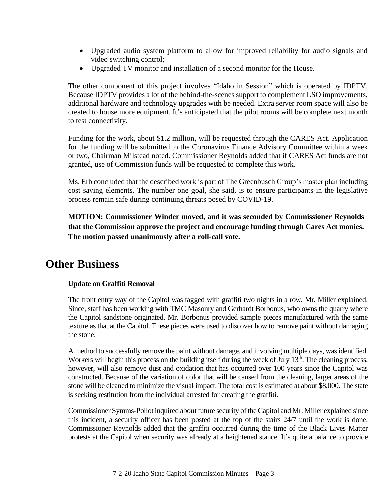- Upgraded audio system platform to allow for improved reliability for audio signals and video switching control;
- Upgraded TV monitor and installation of a second monitor for the House.

The other component of this project involves "Idaho in Session" which is operated by IDPTV. Because IDPTV provides a lot of the behind-the-scenes support to complement LSO improvements, additional hardware and technology upgrades with be needed. Extra server room space will also be created to house more equipment. It's anticipated that the pilot rooms will be complete next month to test connectivity.

Funding for the work, about \$1.2 million, will be requested through the CARES Act. Application for the funding will be submitted to the Coronavirus Finance Advisory Committee within a week or two, Chairman Milstead noted. Commissioner Reynolds added that if CARES Act funds are not granted, use of Commission funds will be requested to complete this work.

Ms. Erb concluded that the described work is part of The Greenbusch Group's master plan including cost saving elements. The number one goal, she said, is to ensure participants in the legislative process remain safe during continuing threats posed by COVID-19.

**MOTION: Commissioner Winder moved, and it was seconded by Commissioner Reynolds that the Commission approve the project and encourage funding through Cares Act monies. The motion passed unanimously after a roll-call vote.**

### **Other Business**

### **Update on Graffiti Removal**

The front entry way of the Capitol was tagged with graffiti two nights in a row, Mr. Miller explained. Since, staff has been working with TMC Masonry and Gerhardt Borbonus, who owns the quarry where the Capitol sandstone originated. Mr. Borbonus provided sample pieces manufactured with the same texture as that at the Capitol. These pieces were used to discover how to remove paint without damaging the stone.

A method to successfully remove the paint without damage, and involving multiple days, was identified. Workers will begin this process on the building itself during the week of July 13<sup>th</sup>. The cleaning process, however, will also remove dust and oxidation that has occurred over 100 years since the Capitol was constructed. Because of the variation of color that will be caused from the cleaning, larger areas of the stone will be cleaned to minimize the visual impact. The total cost is estimated at about \$8,000. The state is seeking restitution from the individual arrested for creating the graffiti.

Commissioner Symms-Pollot inquired about future security of the Capitol and Mr. Miller explained since this incident, a security officer has been posted at the top of the stairs 24/7 until the work is done. Commissioner Reynolds added that the graffiti occurred during the time of the Black Lives Matter protests at the Capitol when security was already at a heightened stance. It's quite a balance to provide